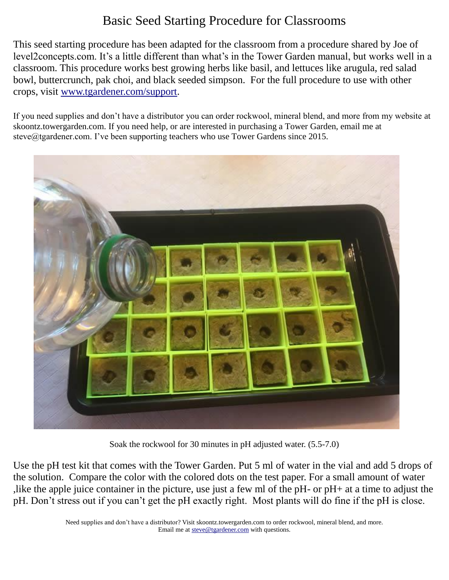## Basic Seed Starting Procedure for Classrooms

This seed starting procedure has been adapted for the classroom from a procedure shared by Joe of level2concepts.com. It's a little different than what's in the Tower Garden manual, but works well in a classroom. This procedure works best growing herbs like basil, and lettuces like arugula, red salad bowl, buttercrunch, pak choi, and black seeded simpson. For the full procedure to use with other crops, visit [www.tgardener.com/support.](http://www.tgardener.com/support)

If you need supplies and don't have a distributor you can order rockwool, mineral blend, and more from my website at skoontz.towergarden.com. If you need help, or are interested in purchasing a Tower Garden, email me at steve@tgardener.com. I've been supporting teachers who use Tower Gardens since 2015.



Soak the rockwool for 30 minutes in pH adjusted water. (5.5-7.0)

Use the pH test kit that comes with the Tower Garden. Put 5 ml of water in the vial and add 5 drops of the solution. Compare the color with the colored dots on the test paper. For a small amount of water ,like the apple juice container in the picture, use just a few ml of the pH- or pH+ at a time to adjust the pH. Don't stress out if you can't get the pH exactly right. Most plants will do fine if the pH is close.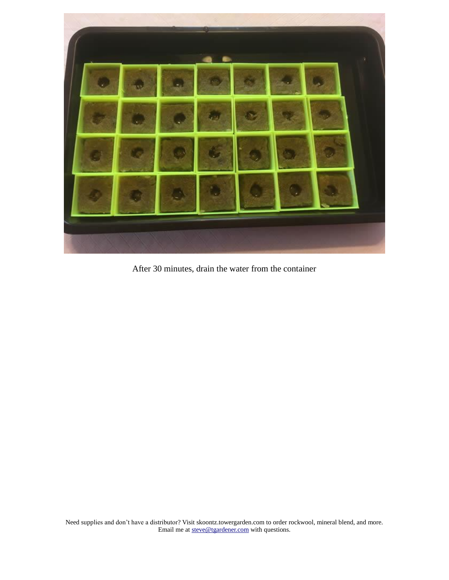

After 30 minutes, drain the water from the container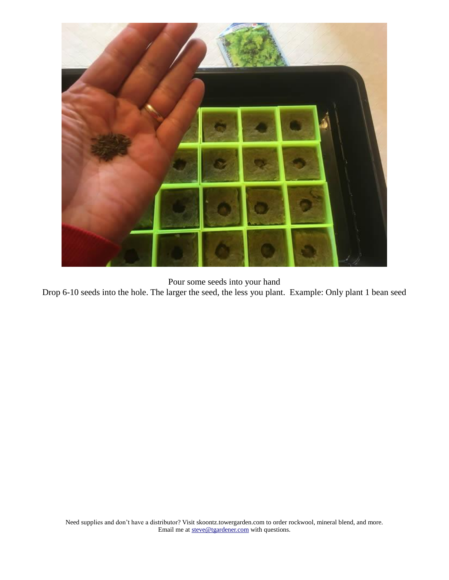

Pour some seeds into your hand

Drop 6-10 seeds into the hole. The larger the seed, the less you plant. Example: Only plant 1 bean seed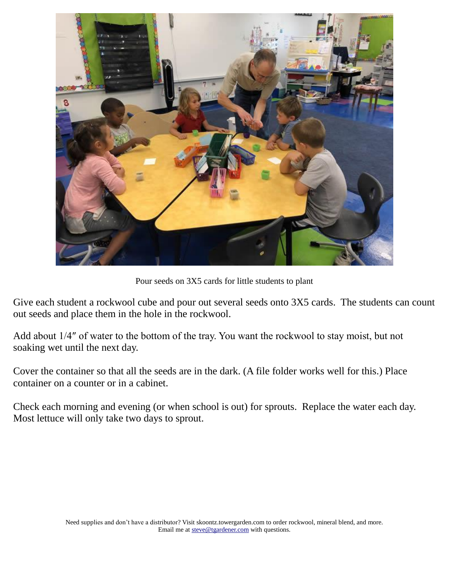

Pour seeds on 3X5 cards for little students to plant

Give each student a rockwool cube and pour out several seeds onto 3X5 cards. The students can count out seeds and place them in the hole in the rockwool.

Add about 1/4″ of water to the bottom of the tray. You want the rockwool to stay moist, but not soaking wet until the next day.

Cover the container so that all the seeds are in the dark. (A file folder works well for this.) Place container on a counter or in a cabinet.

Check each morning and evening (or when school is out) for sprouts. Replace the water each day. Most lettuce will only take two days to sprout.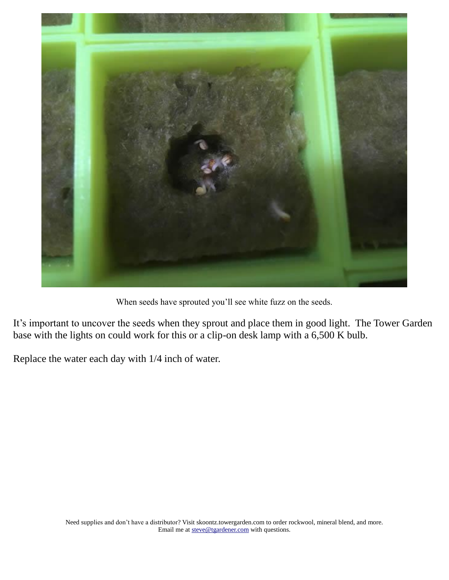

When seeds have sprouted you'll see white fuzz on the seeds.

It's important to uncover the seeds when they sprout and place them in good light. The Tower Garden base with the lights on could work for this or a clip-on desk lamp with a 6,500 K bulb.

Replace the water each day with 1/4 inch of water.